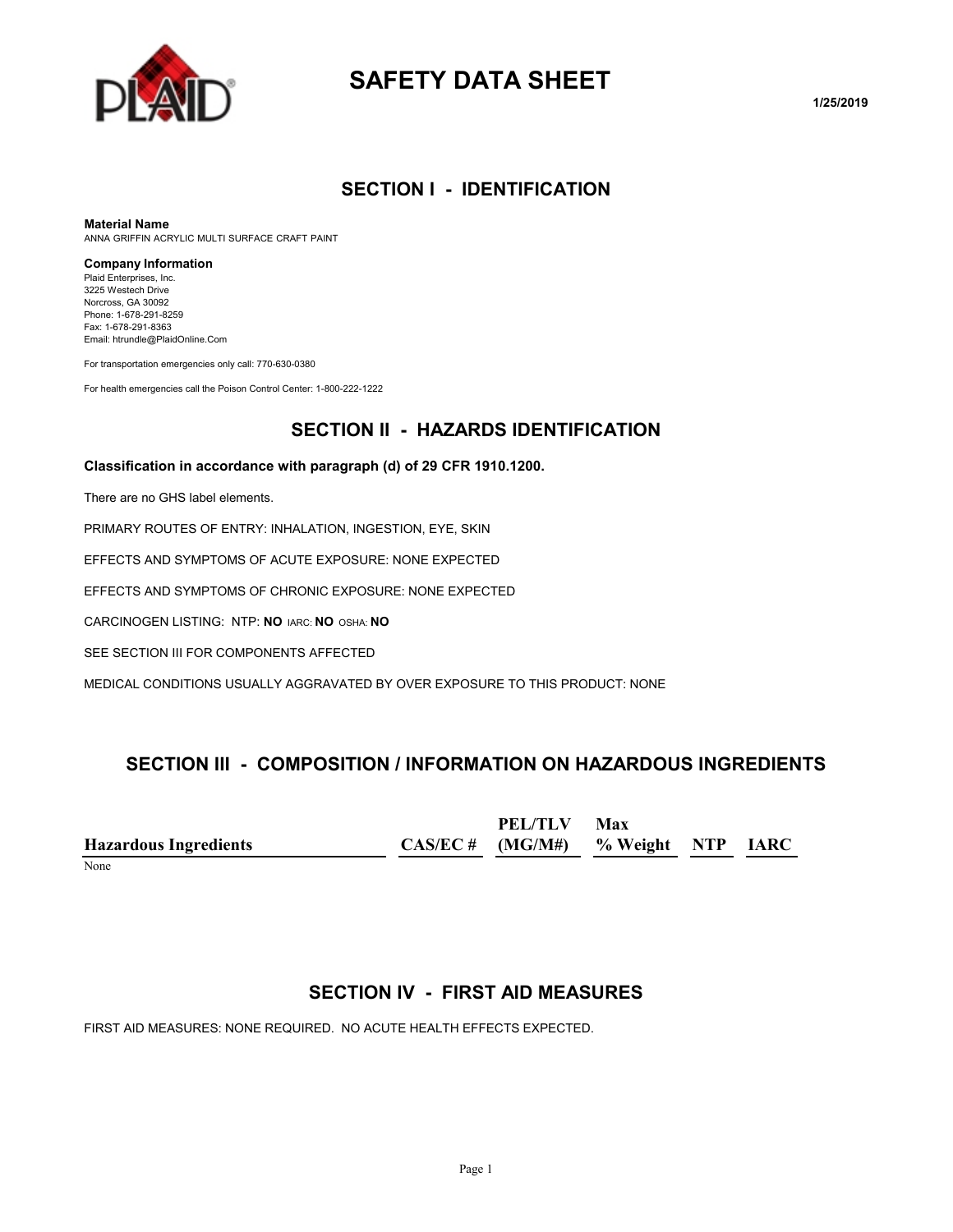

# **SAFETY DATA SHEET**

#### **SECTION I - IDENTIFICATION**

**Material Name**

ANNA GRIFFIN ACRYLIC MULTI SURFACE CRAFT PAINT

#### **Company Information**

Plaid Enterprises, Inc. 3225 Westech Drive Norcross, GA 30092 Phone: 1-678-291-8259 Fax: 1-678-291-8363 Email: htrundle@PlaidOnline.Com

For transportation emergencies only call: 770-630-0380

For health emergencies call the Poison Control Center: 1-800-222-1222

### **SECTION II - HAZARDS IDENTIFICATION**

#### **Classification in accordance with paragraph (d) of 29 CFR 1910.1200.**

There are no GHS label elements.

PRIMARY ROUTES OF ENTRY: INHALATION, INGESTION, EYE, SKIN

EFFECTS AND SYMPTOMS OF ACUTE EXPOSURE: NONE EXPECTED

EFFECTS AND SYMPTOMS OF CHRONIC EXPOSURE: NONE EXPECTED

CARCINOGEN LISTING: NTP: **NO** IARC: **NO** OSHA: **NO**

SEE SECTION III FOR COMPONENTS AFFECTED

MEDICAL CONDITIONS USUALLY AGGRAVATED BY OVER EXPOSURE TO THIS PRODUCT: NONE

#### **SECTION III - COMPOSITION / INFORMATION ON HAZARDOUS INGREDIENTS**

|                              | PEL/TLV                              | Max |  |
|------------------------------|--------------------------------------|-----|--|
| <b>Hazardous Ingredients</b> | $CAS/EC$ # (MG/M#) % Weight NTP IARC |     |  |
| $\mathbf{v}$                 |                                      |     |  |

None

#### **SECTION IV - FIRST AID MEASURES**

FIRST AID MEASURES: NONE REQUIRED. NO ACUTE HEALTH EFFECTS EXPECTED.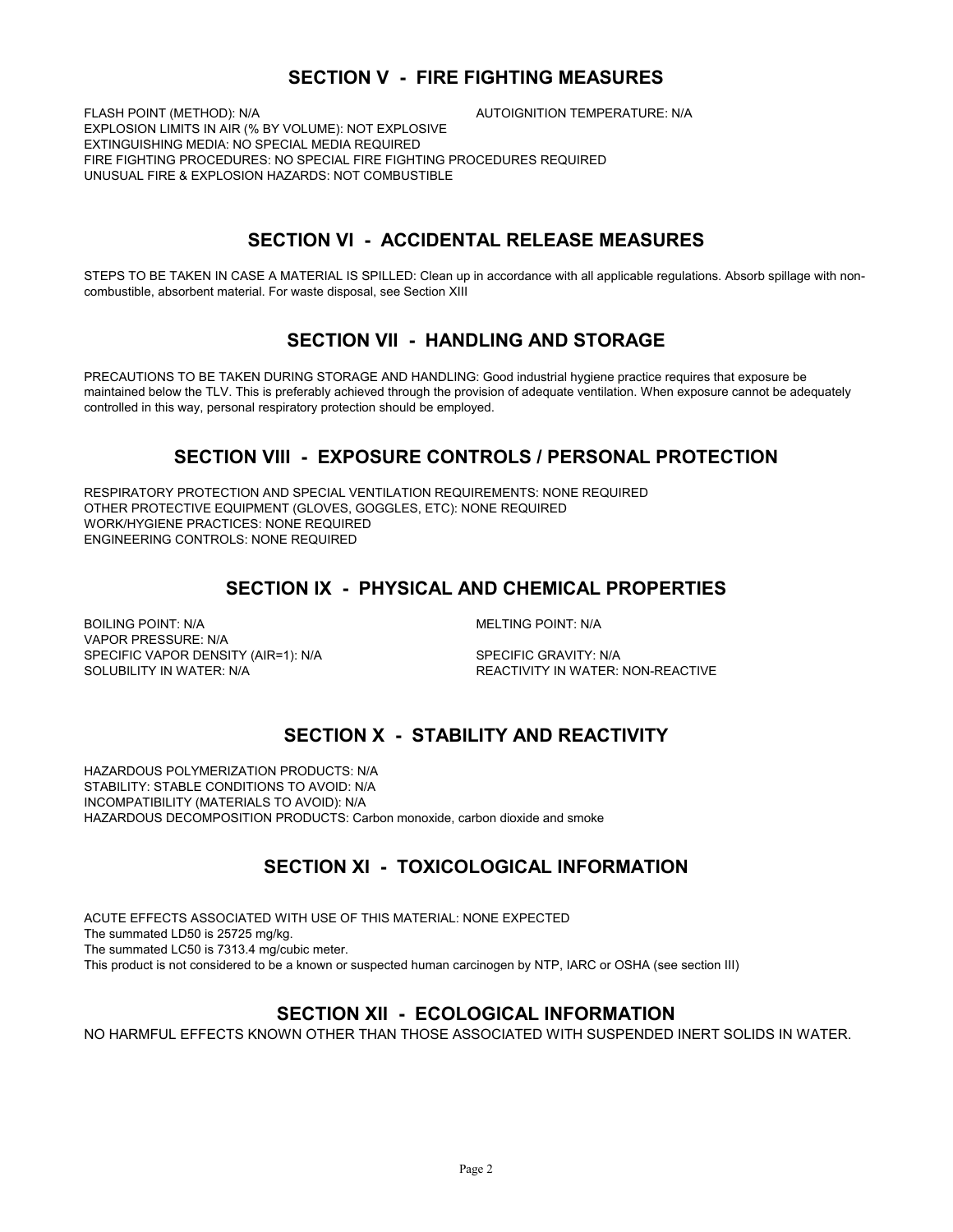#### **SECTION V - FIRE FIGHTING MEASURES**

FLASH POINT (METHOD): N/A **AUTOIGNITION TEMPERATURE: N/A** EXPLOSION LIMITS IN AIR (% BY VOLUME): NOT EXPLOSIVE EXTINGUISHING MEDIA: NO SPECIAL MEDIA REQUIRED FIRE FIGHTING PROCEDURES: NO SPECIAL FIRE FIGHTING PROCEDURES REQUIRED UNUSUAL FIRE & EXPLOSION HAZARDS: NOT COMBUSTIBLE

### **SECTION VI - ACCIDENTAL RELEASE MEASURES**

STEPS TO BE TAKEN IN CASE A MATERIAL IS SPILLED: Clean up in accordance with all applicable regulations. Absorb spillage with noncombustible, absorbent material. For waste disposal, see Section XIII

#### **SECTION VII - HANDLING AND STORAGE**

PRECAUTIONS TO BE TAKEN DURING STORAGE AND HANDLING: Good industrial hygiene practice requires that exposure be maintained below the TLV. This is preferably achieved through the provision of adequate ventilation. When exposure cannot be adequately controlled in this way, personal respiratory protection should be employed.

### **SECTION VIII - EXPOSURE CONTROLS / PERSONAL PROTECTION**

RESPIRATORY PROTECTION AND SPECIAL VENTILATION REQUIREMENTS: NONE REQUIRED OTHER PROTECTIVE EQUIPMENT (GLOVES, GOGGLES, ETC): NONE REQUIRED WORK/HYGIENE PRACTICES: NONE REQUIRED ENGINEERING CONTROLS: NONE REQUIRED

# **SECTION IX - PHYSICAL AND CHEMICAL PROPERTIES**

BOILING POINT: N/A GOILING POINT: N/A VAPOR PRESSURE: N/A SPECIFIC VAPOR DENSITY (AIR=1): N/A SPECIFIC GRAVITY: N/A SOLUBILITY IN WATER: N/A REACTIVITY IN WATER: NON-REACTIVE

# **SECTION X - STABILITY AND REACTIVITY**

HAZARDOUS POLYMERIZATION PRODUCTS: N/A STABILITY: STABLE CONDITIONS TO AVOID: N/A INCOMPATIBILITY (MATERIALS TO AVOID): N/A HAZARDOUS DECOMPOSITION PRODUCTS: Carbon monoxide, carbon dioxide and smoke

# **SECTION XI - TOXICOLOGICAL INFORMATION**

ACUTE EFFECTS ASSOCIATED WITH USE OF THIS MATERIAL: NONE EXPECTED The summated LD50 is 25725 mg/kg. The summated LC50 is 7313.4 mg/cubic meter. This product is not considered to be a known or suspected human carcinogen by NTP, IARC or OSHA (see section III)

#### **SECTION XII - ECOLOGICAL INFORMATION**

NO HARMFUL EFFECTS KNOWN OTHER THAN THOSE ASSOCIATED WITH SUSPENDED INERT SOLIDS IN WATER.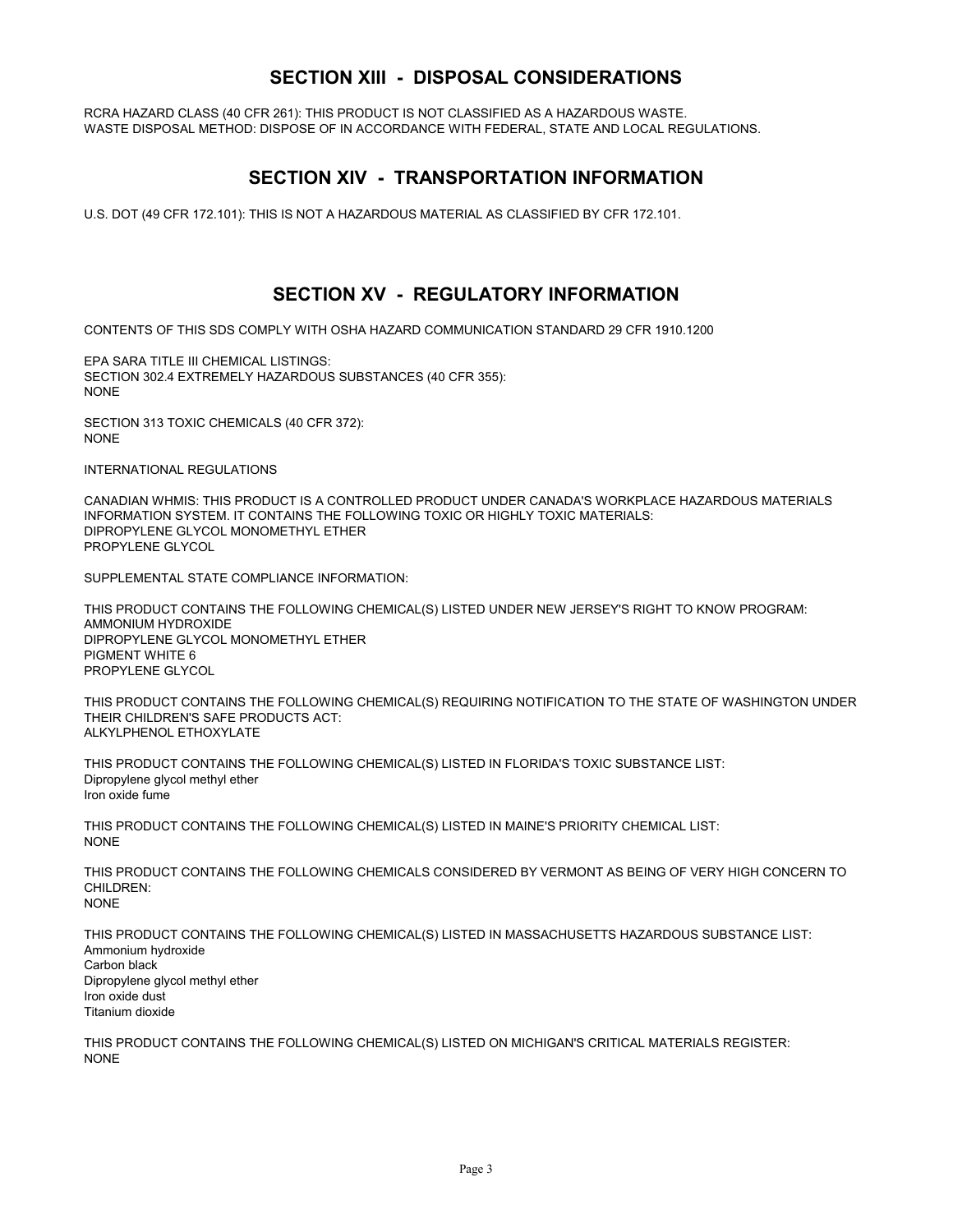#### **SECTION XIII - DISPOSAL CONSIDERATIONS**

RCRA HAZARD CLASS (40 CFR 261): THIS PRODUCT IS NOT CLASSIFIED AS A HAZARDOUS WASTE. WASTE DISPOSAL METHOD: DISPOSE OF IN ACCORDANCE WITH FEDERAL, STATE AND LOCAL REGULATIONS.

### **SECTION XIV - TRANSPORTATION INFORMATION**

U.S. DOT (49 CFR 172.101): THIS IS NOT A HAZARDOUS MATERIAL AS CLASSIFIED BY CFR 172.101.

### **SECTION XV - REGULATORY INFORMATION**

CONTENTS OF THIS SDS COMPLY WITH OSHA HAZARD COMMUNICATION STANDARD 29 CFR 1910.1200

EPA SARA TITLE III CHEMICAL LISTINGS: SECTION 302.4 EXTREMELY HAZARDOUS SUBSTANCES (40 CFR 355): NONE

SECTION 313 TOXIC CHEMICALS (40 CFR 372): NONE

INTERNATIONAL REGULATIONS

CANADIAN WHMIS: THIS PRODUCT IS A CONTROLLED PRODUCT UNDER CANADA'S WORKPLACE HAZARDOUS MATERIALS INFORMATION SYSTEM. IT CONTAINS THE FOLLOWING TOXIC OR HIGHLY TOXIC MATERIALS: DIPROPYLENE GLYCOL MONOMETHYL ETHER PROPYLENE GLYCOL

SUPPLEMENTAL STATE COMPLIANCE INFORMATION:

THIS PRODUCT CONTAINS THE FOLLOWING CHEMICAL(S) LISTED UNDER NEW JERSEY'S RIGHT TO KNOW PROGRAM: AMMONIUM HYDROXIDE DIPROPYLENE GLYCOL MONOMETHYL ETHER PIGMENT WHITE 6 PROPYLENE GLYCOL

THIS PRODUCT CONTAINS THE FOLLOWING CHEMICAL(S) REQUIRING NOTIFICATION TO THE STATE OF WASHINGTON UNDER THEIR CHILDREN'S SAFE PRODUCTS ACT: ALKYLPHENOL ETHOXYLATE

THIS PRODUCT CONTAINS THE FOLLOWING CHEMICAL(S) LISTED IN FLORIDA'S TOXIC SUBSTANCE LIST: Dipropylene glycol methyl ether Iron oxide fume

THIS PRODUCT CONTAINS THE FOLLOWING CHEMICAL(S) LISTED IN MAINE'S PRIORITY CHEMICAL LIST: NONE

THIS PRODUCT CONTAINS THE FOLLOWING CHEMICALS CONSIDERED BY VERMONT AS BEING OF VERY HIGH CONCERN TO CHILDREN: NONE

THIS PRODUCT CONTAINS THE FOLLOWING CHEMICAL(S) LISTED IN MASSACHUSETTS HAZARDOUS SUBSTANCE LIST: Ammonium hydroxide Carbon black Dipropylene glycol methyl ether Iron oxide dust Titanium dioxide

THIS PRODUCT CONTAINS THE FOLLOWING CHEMICAL(S) LISTED ON MICHIGAN'S CRITICAL MATERIALS REGISTER: NONE